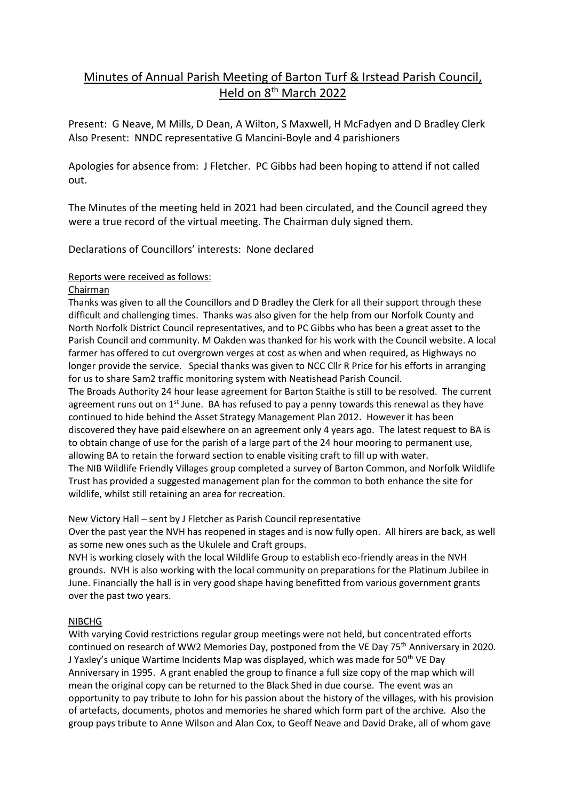# Minutes of Annual Parish Meeting of Barton Turf & Irstead Parish Council, Held on 8th March 2022

Present: G Neave, M Mills, D Dean, A Wilton, S Maxwell, H McFadyen and D Bradley Clerk Also Present: NNDC representative G Mancini-Boyle and 4 parishioners

Apologies for absence from: J Fletcher. PC Gibbs had been hoping to attend if not called out.

The Minutes of the meeting held in 2021 had been circulated, and the Council agreed they were a true record of the virtual meeting. The Chairman duly signed them.

Declarations of Councillors' interests: None declared

# Reports were received as follows:

### Chairman

Thanks was given to all the Councillors and D Bradley the Clerk for all their support through these difficult and challenging times. Thanks was also given for the help from our Norfolk County and North Norfolk District Council representatives, and to PC Gibbs who has been a great asset to the Parish Council and community. M Oakden was thanked for his work with the Council website. A local farmer has offered to cut overgrown verges at cost as when and when required, as Highways no longer provide the service. Special thanks was given to NCC Cllr R Price for his efforts in arranging for us to share Sam2 traffic monitoring system with Neatishead Parish Council.

The Broads Authority 24 hour lease agreement for Barton Staithe is still to be resolved. The current agreement runs out on  $1<sup>st</sup>$  June. BA has refused to pay a penny towards this renewal as they have continued to hide behind the Asset Strategy Management Plan 2012. However it has been discovered they have paid elsewhere on an agreement only 4 years ago. The latest request to BA is to obtain change of use for the parish of a large part of the 24 hour mooring to permanent use, allowing BA to retain the forward section to enable visiting craft to fill up with water.

The NIB Wildlife Friendly Villages group completed a survey of Barton Common, and Norfolk Wildlife Trust has provided a suggested management plan for the common to both enhance the site for wildlife, whilst still retaining an area for recreation.

# New Victory Hall – sent by J Fletcher as Parish Council representative

Over the past year the NVH has reopened in stages and is now fully open. All hirers are back, as well as some new ones such as the Ukulele and Craft groups.

NVH is working closely with the local Wildlife Group to establish eco-friendly areas in the NVH grounds. NVH is also working with the local community on preparations for the Platinum Jubilee in June. Financially the hall is in very good shape having benefitted from various government grants over the past two years.

# NIBCHG

With varying Covid restrictions regular group meetings were not held, but concentrated efforts continued on research of WW2 Memories Day, postponed from the VE Day 75<sup>th</sup> Anniversary in 2020. J Yaxley's unique Wartime Incidents Map was displayed, which was made for 50<sup>th</sup> VE Day Anniversary in 1995. A grant enabled the group to finance a full size copy of the map which will mean the original copy can be returned to the Black Shed in due course. The event was an opportunity to pay tribute to John for his passion about the history of the villages, with his provision of artefacts, documents, photos and memories he shared which form part of the archive. Also the group pays tribute to Anne Wilson and Alan Cox, to Geoff Neave and David Drake, all of whom gave